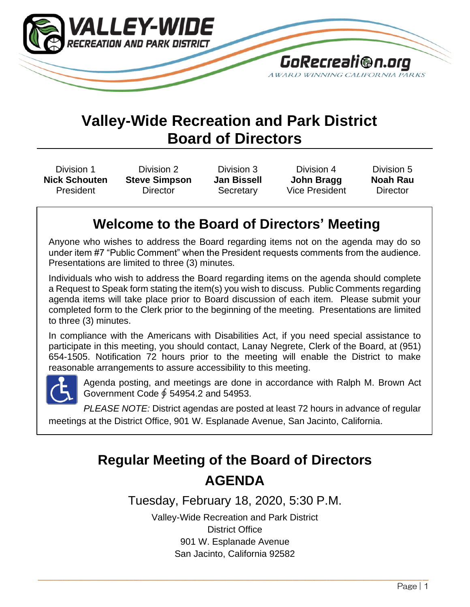

# **Valley-Wide Recreation and Park District Board of Directors**

Division 1 **Nick Schouten** President

Division 2 **Steve Simpson Director** 

Division 3 **Jan Bissell Secretary** 

Division 4 **John Bragg** Vice President

Division 5 **Noah Rau Director** 

## **Welcome to the Board of Directors' Meeting**

Anyone who wishes to address the Board regarding items not on the agenda may do so under item #7 "Public Comment" when the President requests comments from the audience. Presentations are limited to three (3) minutes.

Individuals who wish to address the Board regarding items on the agenda should complete a Request to Speak form stating the item(s) you wish to discuss. Public Comments regarding agenda items will take place prior to Board discussion of each item. Please submit your completed form to the Clerk prior to the beginning of the meeting. Presentations are limited to three (3) minutes.

In compliance with the Americans with Disabilities Act, if you need special assistance to participate in this meeting, you should contact, Lanay Negrete, Clerk of the Board, at (951) 654-1505. Notification 72 hours prior to the meeting will enable the District to make reasonable arrangements to assure accessibility to this meeting.



Agenda posting, and meetings are done in accordance with Ralph M. Brown Act Government Code ∮ 54954.2 and 54953.

*PLEASE NOTE:* District agendas are posted at least 72 hours in advance of regular meetings at the District Office, 901 W. Esplanade Avenue, San Jacinto, California.

# **Regular Meeting of the Board of Directors AGENDA**

Tuesday, February 18, 2020, 5:30 P.M.

Valley-Wide Recreation and Park District District Office 901 W. Esplanade Avenue San Jacinto, California 92582

\_\_\_\_\_\_\_\_\_\_\_\_\_\_\_\_\_\_\_\_\_\_\_\_\_\_\_\_\_\_\_\_\_\_\_\_\_\_\_\_\_\_\_\_\_\_\_\_\_\_\_\_\_\_\_\_\_\_\_\_\_\_\_\_\_\_\_\_\_\_\_\_\_\_\_\_\_\_\_\_\_\_\_\_\_\_\_\_\_\_\_\_\_\_\_\_\_\_\_\_\_\_\_\_\_\_\_\_\_\_\_\_\_\_\_\_\_\_\_\_\_\_\_\_\_ \_\_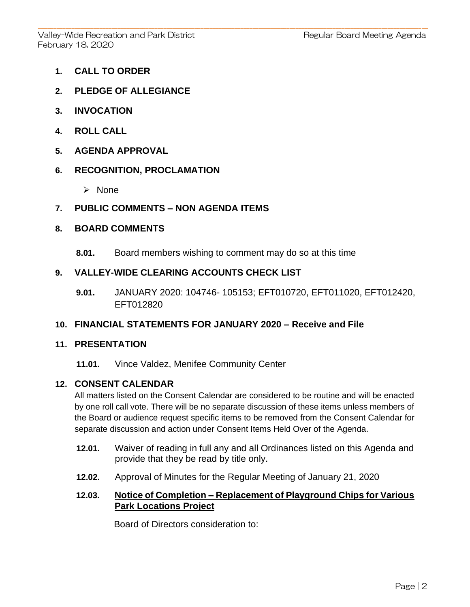- **1. CALL TO ORDER**
- **2. PLEDGE OF ALLEGIANCE**
- **3. INVOCATION**
- **4. ROLL CALL**
- **5. AGENDA APPROVAL**

#### **6. RECOGNITION, PROCLAMATION**

➢ None

#### **7. PUBLIC COMMENTS – NON AGENDA ITEMS**

#### **8. BOARD COMMENTS**

**8.01.** Board members wishing to comment may do so at this time

#### **9. VALLEY-WIDE CLEARING ACCOUNTS CHECK LIST**

**9.01.** JANUARY 2020: 104746- 105153; EFT010720, EFT011020, EFT012420, EFT012820

#### **10. FINANCIAL STATEMENTS FOR JANUARY 2020 – Receive and File**

#### **11. PRESENTATION**

**11.01.** Vince Valdez, Menifee Community Center

#### **12. CONSENT CALENDAR**

All matters listed on the Consent Calendar are considered to be routine and will be enacted by one roll call vote. There will be no separate discussion of these items unless members of the Board or audience request specific items to be removed from the Consent Calendar for separate discussion and action under Consent Items Held Over of the Agenda.

- **12.01.** Waiver of reading in full any and all Ordinances listed on this Agenda and provide that they be read by title only.
- **12.02.** Approval of Minutes for the Regular Meeting of January 21, 2020

 $\_$  , and the state of the state of the state of the state of the state of the state of the state of the state of the state of the state of the state of the state of the state of the state of the state of the state of the

#### **12.03. Notice of Completion – Replacement of Playground Chips for Various Park Locations Project**

Board of Directors consideration to: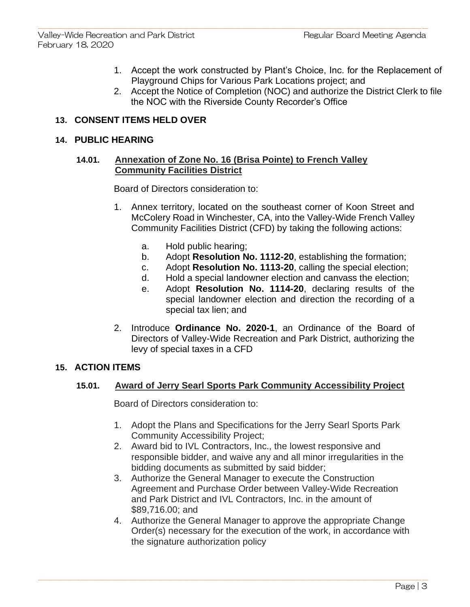- 1. Accept the work constructed by Plant's Choice, Inc. for the Replacement of Playground Chips for Various Park Locations project; and
- 2. Accept the Notice of Completion (NOC) and authorize the District Clerk to file the NOC with the Riverside County Recorder's Office

## **13. CONSENT ITEMS HELD OVER**

#### **14. PUBLIC HEARING**

#### **14.01. Annexation of Zone No. 16 (Brisa Pointe) to French Valley Community Facilities District**

Board of Directors consideration to:

- 1. Annex territory, located on the southeast corner of Koon Street and McColery Road in Winchester, CA, into the Valley-Wide French Valley Community Facilities District (CFD) by taking the following actions:
	- a. Hold public hearing;
	- b. Adopt **Resolution No. 1112-20**, establishing the formation;
	- c. Adopt **Resolution No. 1113-20**, calling the special election;
	- d. Hold a special landowner election and canvass the election;
	- e. Adopt **Resolution No. 1114-20**, declaring results of the special landowner election and direction the recording of a special tax lien; and
- 2. Introduce **Ordinance No. 2020-1**, an Ordinance of the Board of Directors of Valley-Wide Recreation and Park District, authorizing the levy of special taxes in a CFD

#### **15. ACTION ITEMS**

#### **15.01. Award of Jerry Searl Sports Park Community Accessibility Project**

Board of Directors consideration to:

- 1. Adopt the Plans and Specifications for the Jerry Searl Sports Park Community Accessibility Project;
- 2. Award bid to IVL Contractors, Inc., the lowest responsive and responsible bidder, and waive any and all minor irregularities in the bidding documents as submitted by said bidder;
- 3. Authorize the General Manager to execute the Construction Agreement and Purchase Order between Valley-Wide Recreation and Park District and IVL Contractors, Inc. in the amount of \$89,716.00; and
- 4. Authorize the General Manager to approve the appropriate Change Order(s) necessary for the execution of the work, in accordance with the signature authorization policy

 $\_$  , and the state of the state of the state of the state of the state of the state of the state of the state of the state of the state of the state of the state of the state of the state of the state of the state of the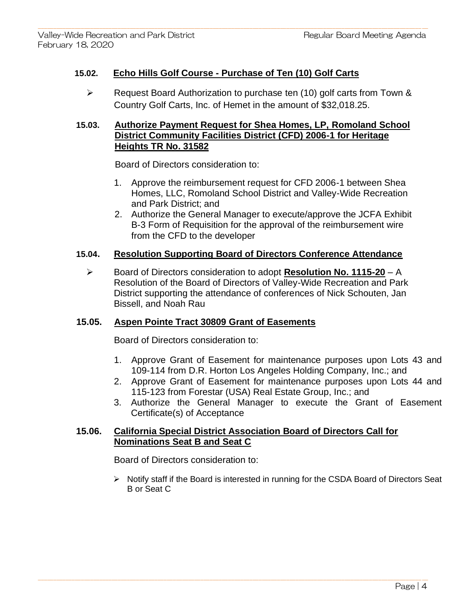## **15.02. Echo Hills Golf Course - Purchase of Ten (10) Golf Carts**

➢ Request Board Authorization to purchase ten (10) golf carts from Town & Country Golf Carts, Inc. of Hemet in the amount of \$32,018.25.

## **15.03. Authorize Payment Request for Shea Homes, LP, Romoland School District Community Facilities District (CFD) 2006-1 for Heritage Heights TR No. 31582**

Board of Directors consideration to:

- 1. Approve the reimbursement request for CFD 2006-1 between Shea Homes, LLC, Romoland School District and Valley-Wide Recreation and Park District; and
- 2. Authorize the General Manager to execute/approve the JCFA Exhibit B-3 Form of Requisition for the approval of the reimbursement wire from the CFD to the developer

## **15.04. Resolution Supporting Board of Directors Conference Attendance**

➢ Board of Directors consideration to adopt **Resolution No. 1115-20** – A Resolution of the Board of Directors of Valley-Wide Recreation and Park District supporting the attendance of conferences of Nick Schouten, Jan Bissell, and Noah Rau

## **15.05. Aspen Pointe Tract 30809 Grant of Easements**

Board of Directors consideration to:

- 1. Approve Grant of Easement for maintenance purposes upon Lots 43 and 109-114 from D.R. Horton Los Angeles Holding Company, Inc.; and
- 2. Approve Grant of Easement for maintenance purposes upon Lots 44 and 115-123 from Forestar (USA) Real Estate Group, Inc.; and
- 3. Authorize the General Manager to execute the Grant of Easement Certificate(s) of Acceptance

## **15.06. California Special District Association Board of Directors Call for Nominations Seat B and Seat C**

 $\_$  , and the state of the state of the state of the state of the state of the state of the state of the state of the state of the state of the state of the state of the state of the state of the state of the state of the

Board of Directors consideration to:

➢ Notify staff if the Board is interested in running for the CSDA Board of Directors Seat B or Seat C